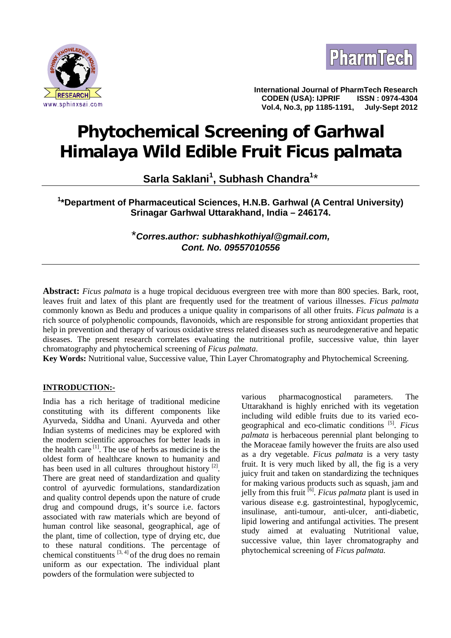



**International Journal of PharmTech Research CODEN (USA): IJPRIF ISSN : 0974-4304**  $Vol.4$ , No.3, pp 1185-1191,

# **Phytochemical Screening of Garhwal Himalaya Wild Edible Fruit** *Ficus palmata*

**Sarla Saklani<sup>1</sup> , Subhash Chandra<sup>1</sup>**\*

**<sup>1</sup>\*Department of Pharmaceutical Sciences, H.N.B. Garhwal (A Central University) Srinagar Garhwal Uttarakhand, India – 246174.**

> \**Corres.author: subhashkothiyal@gmail.com, Cont. No. 09557010556*

**Abstract:** *Ficus palmata* is a huge tropical deciduous evergreen tree with more than 800 species. Bark, root, leaves fruit and latex of this plant are frequently used for the treatment of various illnesses. *Ficus palmata* commonly known as Bedu and produces a unique quality in comparisons of all other fruits. *Ficus palmata* is a rich source of polyphenolic compounds, flavonoids, which are responsible for strong antioxidant properties that help in prevention and therapy of various oxidative stress related diseases such as neurodegenerative and hepatic diseases. The present research correlates evaluating the nutritional profile, successive value, thin layer chromatography and phytochemical screening of *Ficus palmata*.

**Key Words:** Nutritional value, Successive value, Thin Layer Chromatography and Phytochemical Screening.

# **INTRODUCTION:-**

India has a rich heritage of traditional medicine constituting with its different components like Ayurveda, Siddha and Unani. Ayurveda and other Indian systems of medicines may be explored with the modern scientific approaches for better leads in the health care  $[1]$ . The use of herbs as medicine is the oldest form of healthcare known to humanity and has been used in all cultures throughout history  $[2]$ . There are great need of standardization and quality control of ayurvedic formulations, standardization and quality control depends upon the nature of crude drug and compound drugs, it's source i.e. factors associated with raw materials which are beyond of human control like seasonal, geographical, age of the plant, time of collection, type of drying etc, due to these natural conditions. The percentage of chemical constituents  $[3, 4]$  of the drug does no remain uniform as our expectation. The individual plant powders of the formulation were subjected to

pharmacognostical parameters. The Uttarakhand is highly enriched with its vegetation including wild edible fruits due to its varied eco geographical and eco-climatic conditions [5]. *Ficus palmata* is herbaceous perennial plant belonging to the Moraceae family however the fruits are also used as a dry vegetable. *Ficus palmata* is a very tasty fruit. It is very much liked by all, the fig is a very juicy fruit and taken on standardizing the techniques for making various products such as squash, jam and jelly from this fruit [6]. *Ficus palmata* plant is used in various disease e.g. gastrointestinal, hypoglycemic, insulinase, anti-tumour, anti-ulcer, anti-diabetic, lipid lowering and antifungal activities. The present study aimed at evaluating Nutritional value, successive value, thin layer chromatography and phytochemical screening of *Ficus palmata.*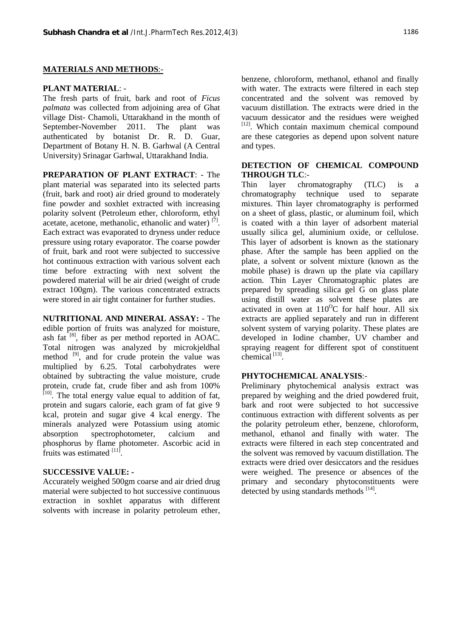## **MATERIALS AND METHODS**:-

#### **PLANT MATERIAL**: -

The fresh parts of fruit, bark and root of *Ficus palmata* was collected from adjoining area of Ghat village Dist- Chamoli, Uttarakhand in the month of September-November 2011. The plant was authenticated by botanist Dr. R. D. Guar, Department of Botany H. N. B. Garhwal (A Central University) Srinagar Garhwal, Uttarakhand India.

**PREPARATION OF PLANT EXTRACT**: - The plant material was separated into its selected parts (fruit, bark and root) air dried ground to moderately fine powder and soxhlet extracted with increasing polarity solvent (Petroleum ether, chloroform, ethyl acetate, acetone, methanolic, ethanolic and water) [7]. Each extract was evaporated to dryness under reduce pressure using rotary evaporator. The coarse powder of fruit, bark and root were subjected to successive hot continuous extraction with various solvent each time before extracting with next solvent the powdered material will be air dried (weight of crude extract 100gm). The various concentrated extracts were stored in air tight container for further studies.

**NUTRITIONAL AND MINERAL ASSAY:** - The edible portion of fruits was analyzed for moisture, ash fat  $[8]$ , fiber as per method reported in AOAC. Total nitrogen was analyzed by microkjeldhal method <sup>[9]</sup>, and for crude protein the value was multiplied by 6.25. Total carbohydrates were obtained by subtracting the value moisture, crude protein, crude fat, crude fiber and ash from 100%  $[10]$ . The total energy value equal to addition of fat, protein and sugars calorie, each gram of fat give 9 kcal, protein and sugar give 4 kcal energy. The minerals analyzed were Potassium using atomic absorption spectrophotometer, calcium and phosphorus by flame photometer. Ascorbic acid in fruits was estimated [11].

#### **SUCCESSIVE VALUE: -**

Accurately weighed 500gm coarse and air dried drug material were subjected to hot successive continuous extraction in soxhlet apparatus with different solvents with increase in polarity petroleum ether,

benzene, chloroform, methanol, ethanol and finally with water. The extracts were filtered in each step concentrated and the solvent was removed by vacuum distillation. The extracts were dried in the vacuum dessicator and the residues were weighed [12]. Which contain maximum chemical compound are these categories as depend upon solvent nature and types.

## **DETECTION OF CHEMICAL COMPOUND THROUGH TLC**:-

 $layer$  chromatography  $(TLC)$  is chromatography technique used to separate mixtures. Thin layer chromatography is performed on a sheet of glass, plastic, or aluminum foil, which is coated with a thin layer of adsorbent material usually silica gel, aluminium oxide, or cellulose. This layer of adsorbent is known as the stationary phase. After the sample has been applied on the plate, a solvent or solvent mixture (known as the mobile phase) is drawn up the plate via capillary action. Thin Layer Chromatographic plates are prepared by spreading silica gel G on glass plate using distill water as solvent these plates are activated in oven at  $110^{\circ}$ C for half hour. All six extracts are applied separately and run in different solvent system of varying polarity. These plates are developed in Iodine chamber, UV chamber and spraying reagent for different spot of constituent chemical<sup>[13]</sup>.

## **PHYTOCHEMICAL ANALYSIS**:-

Preliminary phytochemical analysis extract was prepared by weighing and the dried powdered fruit, bark and root were subjected to hot successive continuous extraction with different solvents as per the polarity petroleum ether, benzene, chloroform, methanol, ethanol and finally with water. The extracts were filtered in each step concentrated and the solvent was removed by vacuum distillation. The extracts were dried over desiccators and the residues were weighed. The presence or absences of the primary and secondary phytoconstituents were detected by using standards methods <sup>[14]</sup>.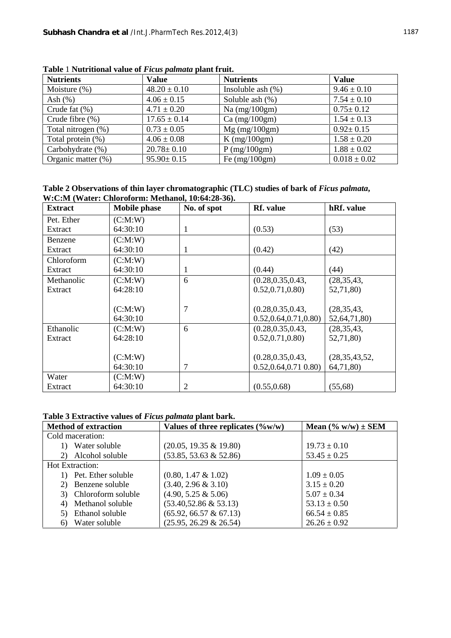| <b>Nutrients</b>     | <b>Value</b>     | <b>Nutrients</b>     | <b>Value</b>     |
|----------------------|------------------|----------------------|------------------|
| Moisture $(\%)$      | $48.20 \pm 0.10$ | Insoluble ash $(\%)$ | $9.46 \pm 0.10$  |
| Ash $(\%)$           | $4.06 \pm 0.15$  | Soluble ash $(\%)$   | $7.54 \pm 0.10$  |
| Crude fat $(\% )$    | $4.71 \pm 0.20$  | Na $(mg/100gm)$      | $0.75 \pm 0.12$  |
| Crude fibre $(\% )$  | $17.65 \pm 0.14$ | $Ca$ (mg/100gm)      | $1.54 \pm 0.13$  |
| Total nitrogen (%)   | $0.73 \pm 0.05$  | $Mg$ (mg/100gm)      | $0.92 \pm 0.15$  |
| Total protein $(\%)$ | $4.06 \pm 0.08$  | $K$ (mg/100gm)       | $1.58 \pm 0.20$  |
| Carbohydrate (%)     | $20.78 \pm 0.10$ | $P$ (mg/100gm)       | $1.88 \pm 0.02$  |
| Organic matter (%)   | $95.90 \pm 0.15$ | Fe $(mg/100gm)$      | $0.018 \pm 0.02$ |

**Table** 1 **Nutritional value of** *Ficus palmata* **plant fruit.**

| Table 2 Observations of thin layer chromatographic (TLC) studies of bark of <i>Ficus palmata</i> , |  |
|----------------------------------------------------------------------------------------------------|--|
| W:C:M (Water: Chloroform: Methanol, 10:64:28-36).                                                  |  |

| <b>Extract</b> | <b>Mobile phase</b> | No. of spot    | Rf. value              | hRf. value       |
|----------------|---------------------|----------------|------------------------|------------------|
| Pet. Ether     | (C:M:W)             |                |                        |                  |
| Extract        | 64:30:10            | 1              | (0.53)                 | (53)             |
| Benzene        | (C:M:W)             |                |                        |                  |
| Extract        | 64:30:10            | 1              | (0.42)                 | (42)             |
| Chloroform     | (C:M:W)             |                |                        |                  |
| Extract        | 64:30:10            | 1              | (0.44)                 | (44)             |
| Methanolic     | (C:M:W)             | 6              | (0.28, 0.35, 0.43,     | (28, 35, 43,     |
| Extract        | 64:28:10            |                | 0.52, 0.71, 0.80       | 52,71,80)        |
|                |                     |                |                        |                  |
|                | (C:M:W)             | 7              | (0.28, 0.35, 0.43,     | (28, 35, 43,     |
|                | 64:30:10            |                | 0.52, 0.64, 0.71, 0.80 | 52,64,71,80)     |
| Ethanolic      | (C:M:W)             | 6              | (0.28, 0.35, 0.43,     | (28, 35, 43,     |
| Extract        | 64:28:10            |                | 0.52, 0.71, 0.80       | 52,71,80)        |
|                |                     |                |                        |                  |
|                | (C:M:W)             |                | (0.28, 0.35, 0.43,     | (28, 35, 43, 52, |
|                | 64:30:10            | 7              | 0.52, 0.64, 0.71, 0.80 | 64,71,80)        |
| Water          | (C:M:W)             |                |                        |                  |
| Extract        | 64:30:10            | $\overline{c}$ | (0.55, 0.68)           | (55,68)          |

# **Table 3 Extractive values of** *Ficus palmata* **plant bark.**

| <b>Method of extraction</b> | Values of three replicates $(\%w/w)$ | Mean $(\% w/w) \pm SEM$ |
|-----------------------------|--------------------------------------|-------------------------|
| Cold maceration:            |                                      |                         |
| Water soluble               | $(20.05, 19.35 \& 19.80)$            | $19.73 \pm 0.10$        |
| Alcohol soluble<br>2)       | $(53.85, 53.63 \& 52.86)$            | $53.45 \pm 0.25$        |
| Hot Extraction:             |                                      |                         |
| Pet. Ether soluble          | $(0.80, 1.47 \& 1.02)$               | $1.09 \pm 0.05$         |
| Benzene soluble<br>2)       | $(3.40, 2.96 \& 3.10)$               | $3.15 \pm 0.20$         |
| Chloroform soluble<br>3)    | $(4.90, 5.25 \& 5.06)$               | $5.07 \pm 0.34$         |
| Methanol soluble<br>4)      | $(53.40, 52.86 \& 53.13)$            | $53.13 \pm 0.50$        |
| Ethanol soluble<br>5)       | $(65.92, 66.57 \& 67.13)$            | $66.54 \pm 0.85$        |
| Water soluble<br>6)         | $(25.95, 26.29 \& 26.54)$            | $26.26 \pm 0.92$        |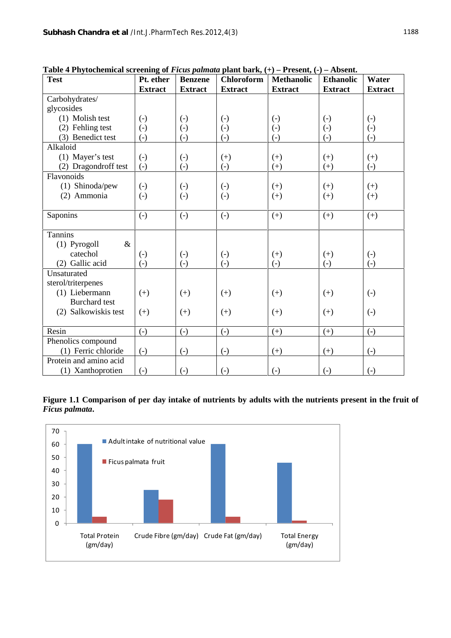| <b>Test</b>            | Pt. ether         | <b>Benzene</b>    | <b>Chloroform</b> | <b>Methanolic</b> | <b>Ethanolic</b>  | Water             |
|------------------------|-------------------|-------------------|-------------------|-------------------|-------------------|-------------------|
|                        | <b>Extract</b>    | <b>Extract</b>    | <b>Extract</b>    | <b>Extract</b>    | <b>Extract</b>    | <b>Extract</b>    |
| Carbohydrates/         |                   |                   |                   |                   |                   |                   |
| glycosides             |                   |                   |                   |                   |                   |                   |
| (1) Molish test        | $\left( -\right)$ | $\left( -\right)$ | $\left( -\right)$ | $\left( -\right)$ | $\left( -\right)$ | $\left( -\right)$ |
| (2) Fehling test       | $\left( -\right)$ | $\left( -\right)$ | $\left( -\right)$ | $\left( -\right)$ | $\left( -\right)$ | $\left( -\right)$ |
| (3) Benedict test      | $\left( -\right)$ | $\left( -\right)$ | $\left( -\right)$ | $\left( -\right)$ | $\left( -\right)$ | $\left( -\right)$ |
| Alkaloid               |                   |                   |                   |                   |                   |                   |
| (1) Mayer's test       | $\left( -\right)$ | $\left( -\right)$ | $(+)$             | $(+)$             | $(+)$             | $(+)$             |
| (2) Dragondroff test   | $\left( -\right)$ | $\left( -\right)$ | $\left( -\right)$ | $(+)$             | $(+)$             | $\left( -\right)$ |
| Flavonoids             |                   |                   |                   |                   |                   |                   |
| (1) Shinoda/pew        | $\left( -\right)$ | $\left( -\right)$ | $\left( -\right)$ | $(+)$             | $(+)$             | $(+)$             |
| (2) Ammonia            | $\left( -\right)$ | $\left( -\right)$ | $(-)$             | $(+)$             | $(+)$             | $(+)$             |
|                        |                   |                   |                   |                   |                   |                   |
| Saponins               | $\left( -\right)$ | $\left( -\right)$ | $\left( -\right)$ | $(+)$             | $(+)$             | $(+)$             |
|                        |                   |                   |                   |                   |                   |                   |
| Tannins                |                   |                   |                   |                   |                   |                   |
| $(1)$ Pyrogoll<br>$\&$ |                   |                   |                   |                   |                   |                   |
| catechol               | $\left( -\right)$ | $\left( -\right)$ | $\left( -\right)$ | $(+)$             | $(+)$             | $\left( -\right)$ |
| (2) Gallic acid        | $\left( -\right)$ | $(-)$             | $(-)$             | $(-)$             | $(-)$             | $\left( -\right)$ |
| Unsaturated            |                   |                   |                   |                   |                   |                   |
| sterol/triterpenes     |                   |                   |                   |                   |                   |                   |
| (1) Liebermann         | $(+)$             | $(+)$             | $(+)$             | $(+)$             | $(+)$             | $\left( -\right)$ |
| <b>Burchard</b> test   |                   |                   |                   |                   |                   |                   |
| (2) Salkowiskis test   | $(+)$             | $(+)$             | $(+)$             | $(+)$             | $(+)$             | $\left( -\right)$ |
|                        |                   |                   |                   |                   |                   |                   |
| Resin                  | $\left( -\right)$ | $\left( -\right)$ | $\left( -\right)$ | $(+)$             | $(+)$             | $\left( -\right)$ |
| Phenolics compound     |                   |                   |                   |                   |                   |                   |
| (1) Ferric chloride    | $\left( -\right)$ | $\left( -\right)$ | $\left( -\right)$ | $(+)$             | $(+)$             | $\left( -\right)$ |
| Protein and amino acid |                   |                   |                   |                   |                   |                   |
| (1) Xanthoprotien      | $\left( -\right)$ | $\left( -\right)$ | $\left( -\right)$ | $\left( -\right)$ | $\left( -\right)$ | $\left( -\right)$ |

**Table 4 Phytochemical screening of** *Ficus palmata* **plant bark, (+) – Present, (-) – Absent.**

**Figure 1.1 Comparison of per day intake of nutrients by adults with the nutrients present in the fruit of** *Ficus palmata***.**

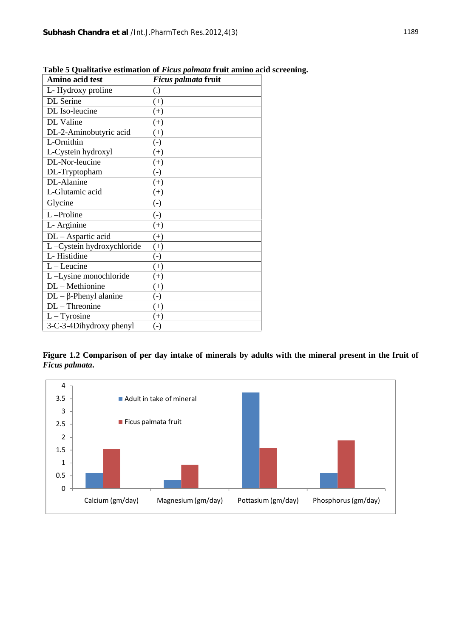| Amino acid test           | Ficus palmata fruit          |
|---------------------------|------------------------------|
| L-Hydroxy proline         | $\left( \frac{1}{2} \right)$ |
| DL Serine                 | $(+)$                        |
| DL Iso-leucine            | $^{(+)}$                     |
| DL Valine                 | $(+)$                        |
| DL-2-Aminobutyric acid    | $(+)$                        |
| L-Ornithin                | $\left( -\right)$            |
| L-Cystein hydroxyl        | $^{(+)}$                     |
| DL-Nor-leucine            | $(+)$                        |
| DL-Tryptopham             | $\left( -\right)$            |
| DL-Alanine                | $(+)$                        |
| L-Glutamic acid           | $(+)$                        |
| Glycine                   | $\left( -\right)$            |
| L-Proline                 | $\left( -\right)$            |
| L- Arginine               | $(+)$                        |
| DL - Aspartic acid        | $(+)$                        |
| L-Cystein hydroxychloride | $(+)$                        |
| L-Histidine               | $\left( -\right)$            |
| $L$ – Leucine             | $(+)$                        |
| L-Lysine monochloride     | $(+)$                        |
| DL - Methionine           | $^{(+)}$                     |
| $DL -$ -Phenyl alanine    | $(\text{-})$                 |
| $DL$ – Threonine          | $(+)$                        |
| $L - Tyrosine$            | $(+)$                        |
| 3-C-3-4Dihydroxy phenyl   | $(\text{-})$                 |

**Table 5 Qualitative estimation of** *Ficus palmata* **fruit amino acid screening.**

**Figure 1.2 Comparison of per day intake of minerals by adults with the mineral present in the fruit of** *Ficus palmata***.**

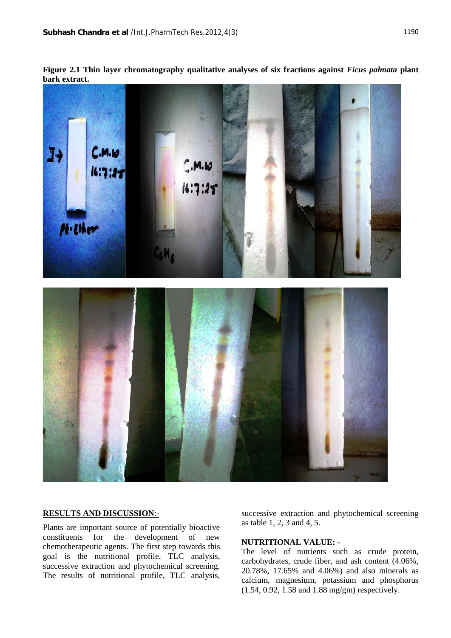**Figure 2.1 Thin layer chromatography qualitative analyses of six fractions against** *Ficus palmata* **plant bark extract.**



## **RESULTS AND DISCUSSION**:-

Plants are important source of potentially bioactive constituents for the development of new chemotherapeutic agents. The first step towards this goal is the nutritional profile, TLC analysis, successive extraction and phytochemical screening. The results of nutritional profile, TLC analysis, successive extraction and phytochemical screening as table 1, 2, 3 and 4, 5.

## **NUTRITIONAL VALUE: -**

The level of nutrients such as crude protein, carbohydrates, crude fiber, and ash content (4.06%, 20.78%, 17.65% and 4.06%) and also minerals as calcium, magnesium, potassium and phosphorus (1.54, 0.92, 1.58 and 1.88 mg/gm) respectively.